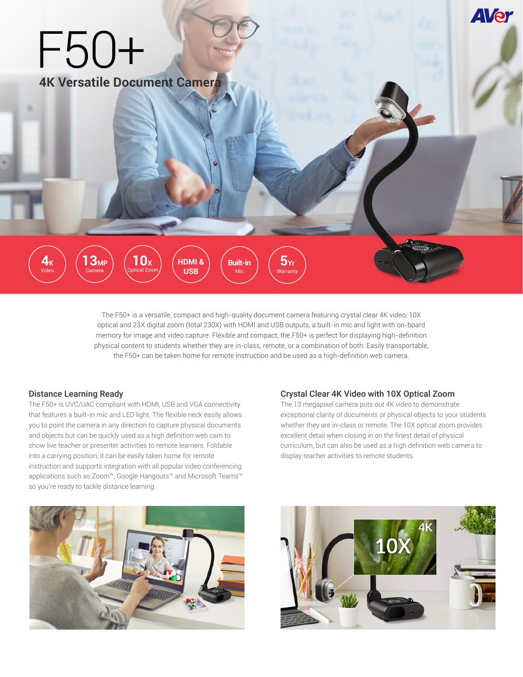

The F50+ is a versatile, compact and high-quality document camera featuring crystal clear 4K video, 10X optical and 23X digital zoom (total 230X) with HDMI and USB outputs, a built-in mic and light with on-board memory for image and video capture. Flexible and compact, the F50+ is perfect for displaying high-definition physical content to students whether they are in-class, remote, or a combination of both. Easily transportable, the F50+ can be taken home for remote instruction and be used as a high-definition web camera.

#### Distance Learning Ready

The F50+ is UVC/UAC compliant with HDMI, USB and VGA connectivity that features a built-in mic and LED light. The flexible neck easily allows you to point the camera in any direction to capture physical documents and objects but can be quickly used as a high definition web cam to show live teacher or presenter activities to remote learners. Foldable into a carrying position, it can be easily taken home for remote instruction and supports integration with all popular video conferencing applications such as Zoom™, Google Hangouts™ and Microsoft Teams™ so you're ready to tackle distance learning.

## Crystal Clear 4K Video with 10X Optical Zoom

The 13 megapixel camera puts out 4K video to demonstrate exceptional clarity of documents or physical objects to your students whether they are in-class or remote. The 10X optical zoom provides excellent detail when closing in on the finest detail of physical curriculum, but can also be used as a high definition web camera to display teacher activities to remote students.



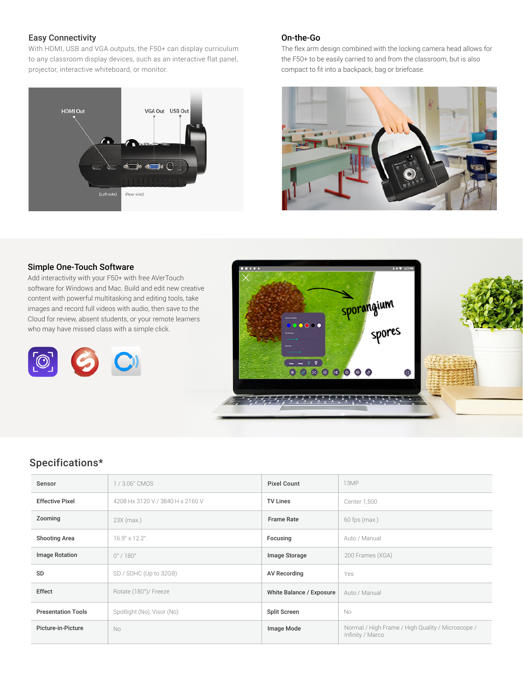## Easy Connectivity

With HDMI, USB and VGA outputs, the F50+ can display curriculum to any classroom display devices, such as an interactive flat panel, projector, interactive whiteboard, or monitor.



## On-the-Go

The flex arm design combined with the locking camera head allows for the F50+ to be easily carried to and from the classroom, but is also compact to fit into a backpack, bag or briefcase.



#### Simple One-Touch Software

Add interactivity with your F50+ with free AVerTouch software for Windows and Mac. Build and edit new creative content with powerful multitasking and editing tools, take images and record full videos with audio, then save to the Cloud for review, absent students, or your remote learners who may have missed class with a simple click.





# Specifications\*

| Sensor                    | 1/3.06" CMOS                     | <b>Pixel Count</b>       | 13MP                                                                  |
|---------------------------|----------------------------------|--------------------------|-----------------------------------------------------------------------|
| <b>Effective Pixel</b>    | 4208 Hx 3120 V / 3840 H x 2160 V | <b>TV Lines</b>          | Center 1,500                                                          |
| Zooming                   | $23X$ (max.)                     | <b>Frame Rate</b>        | $60$ fps (max.)                                                       |
| <b>Shooting Area</b>      | 16.9" x 12.2"                    | Focusing                 | Auto / Manual                                                         |
| <b>Image Rotation</b>     | $0^\circ$ / 180 $^\circ$         | Image Storage            | 200 Frames (XGA)                                                      |
| SD                        | SD / SDHC (Up to 32GB)           | <b>AV Recording</b>      | Yes                                                                   |
| Effect                    | Rotate (180°)/ Freeze            | White Balance / Exposure | Auto / Manual                                                         |
| <b>Presentation Tools</b> | Spotlight (No), Visor (No)       | <b>Split Screen</b>      | No                                                                    |
| Picture-in-Picture        | No                               | Image Mode               | Normal / High Frame / High Quality / Microscope /<br>Infinity / Marco |